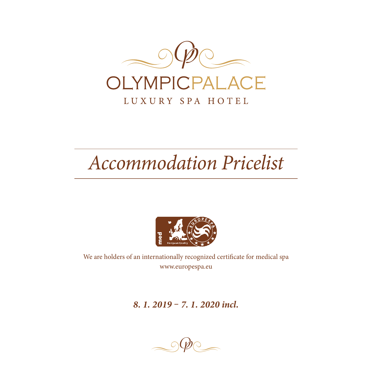

# *Accommodation Pricelist*



We are holders of an internationally recognized certificate for medical spa www.europespa.eu

*8. 1. 2019 – 7. 1. 2020 incl.*

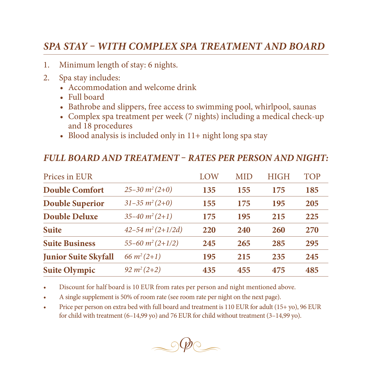## *SPA STAY – WITH COMPLEX SPA TREATMENT AND BOARD*

- 1. Minimum length of stay: 6 nights.
- 2. Spa stay includes:
	- Accommodation and welcome drink
	- Full board
	- Bathrobe and slippers, free access to swimming pool, whirlpool, saunas
	- Complex spa treatment per week (7 nights) including a medical check-up and 18 procedures
	- Blood analysis is included only in 11+ night long spa stay

#### *FULL BOARD AND TREATMENT – RATES PER PERSON AND NIGHT:*

| Prices in EUR               |                               | LOW | <b>MID</b> | <b>HIGH</b> | <b>TOP</b> |
|-----------------------------|-------------------------------|-----|------------|-------------|------------|
| <b>Double Comfort</b>       | $25 - 30 \frac{m^2}{2 + 0}$   | 135 | 155        | 175         | 185        |
| <b>Double Superior</b>      | $31 - 35 \, m^2 (2 + 0)$      | 155 | 175        | 195         | 205        |
| <b>Double Deluxe</b>        | $35 - 40 \; m^2 (2 + 1)$      | 175 | 195        | 215         | 225        |
| <b>Suite</b>                | $42 - 54 m^2 (2+1/2d)$        | 220 | 240        | 260         | 270        |
| <b>Suite Business</b>       | $55 - 60 \frac{m^2}{2 + 1/2}$ | 245 | 265        | 285         | 295        |
| <b>Junior Suite Skyfall</b> | 66 $m^2(2+1)$                 | 195 | 215        | 235         | 245        |
| <b>Suite Olympic</b>        | $92 m^2(2+2)$                 | 435 | 455        | 475         | 485        |

Discount for half board is 10 EUR from rates per person and night mentioned above.

- A single supplement is 50% of room rate (see room rate per night on the next page).
- Price per person on extra bed with full board and treatment is 110 EUR for adult (15+ yo), 96 EUR for child with treatment (6–14,99 yo) and 76 EUR for child without treatment (3–14,99 yo).

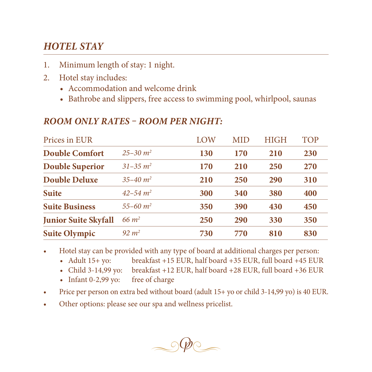## *HOTEL STAY*

- 1. Minimum length of stay: 1 night.
- 2. Hotel stay includes:
	- Accommodation and welcome drink
	- Bathrobe and slippers, free access to swimming pool, whirlpool, saunas

#### *ROOM ONLY RATES – ROOM PER NIGHT:*

| Prices in EUR               |                  | LOW | <b>MID</b> | <b>HIGH</b> | TOP |
|-----------------------------|------------------|-----|------------|-------------|-----|
| <b>Double Comfort</b>       | $25 - 30 \; m^2$ | 130 | 170        | 210         | 230 |
| <b>Double Superior</b>      | $31 - 35$ $m2$   | 170 | 210        | 250         | 270 |
| <b>Double Deluxe</b>        | $35 - 40$ $m2$   | 210 | 250        | 290         | 310 |
| <b>Suite</b>                | $42 - 54$ $m2$   | 300 | 340        | 380         | 400 |
| <b>Suite Business</b>       | $55 - 60$ $m2$   | 350 | 390        | 430         | 450 |
| <b>Junior Suite Skyfall</b> | 66 $m2$          | 250 | <b>290</b> | 330         | 350 |
| <b>Suite Olympic</b>        | $92 \; m^2$      | 730 | 770        | 810         | 830 |

• Hotel stay can be provided with any type of board at additional charges per person:

- Adult 15+ yo: breakfast +15 EUR, half board +35 EUR, full board +45 EUR<br>• Child 3-14,99 yo: breakfast +12 EUR, half board +28 EUR, full board +36 EUR
- breakfast +12 EUR, half board +28 EUR, full board +36 EUR
- Infant 0-2,99 yo: free of charge
- Price per person on extra bed without board (adult 15+ yo or child 3-14,99 yo) is 40 EUR.
- • Other options: please see our spa and wellness pricelist.

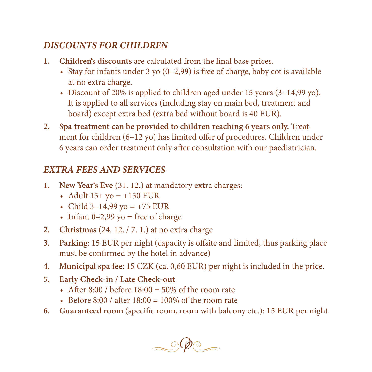## *DISCOUNTS FOR CHILDREN*

- **1. Children's discounts** are calculated from the final base prices.
	- Stay for infants under 3 yo  $(0-2.99)$  is free of charge, baby cot is available at no extra charge.
	- Discount of 20% is applied to children aged under 15 years  $(3-14,99 \text{ vo})$ . It is applied to all services (including stay on main bed, treatment and board) except extra bed (extra bed without board is 40 EUR).
- **2. Spa treatment can be provided to children reaching 6 years only.** Treatment for children (6–12 yo) has limited offer of procedures. Children under 6 years can order treatment only after consultation with our paediatrician.

# *EXTRA FEES AND SERVICES*

- **1. New Year's Eve** (31. 12.) at mandatory extra charges:
	- Adult  $15+$  yo =  $+150$  EUR
	- Child  $3-14,99$  yo =  $+75$  EUR
	- Infant  $0-2,99$  yo = free of charge
- **2. Christmas** (24. 12. / 7. 1.) at no extra charge
- **3. Parking**: 15 EUR per night (capacity is offsite and limited, thus parking place must be confirmed by the hotel in advance)
- **4. Municipal spa fee**: 15 CZK (ca. 0,60 EUR) per night is included in the price.
- **5. Early Check-in / Late Check-out**
	- After  $8:00$  / before  $18:00 = 50\%$  of the room rate
	- Before 8:00 / after  $18:00 = 100\%$  of the room rate
- **6. Guaranteed room** (specific room, room with balcony etc.): 15 EUR per night

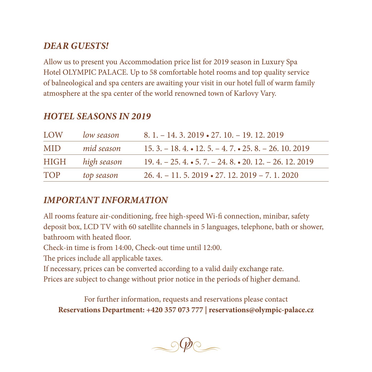### *DEAR GUESTS!*

Allow us to present you Accommodation price list for 2019 season in Luxury Spa Hotel OLYMPIC PALACE. Up to 58 comfortable hotel rooms and top quality service of balneological and spa centers are awaiting your visit in our hotel full of warm family atmosphere at the spa center of the world renowned town of Karlovy Vary.

| <b>LOW</b> | low season  | $8.1 - 14.3$ , $2019 \cdot 27.10 - 19.12$ , $2019$           |
|------------|-------------|--------------------------------------------------------------|
| <b>MID</b> | mid season  | $15.3 - 18.4 \cdot 12.5 - 4.7 \cdot 25.8 - 26.10.2019$       |
| HIGH       | high season | $19.4. - 25.4. \cdot 5.7. - 24.8. \cdot 20.12. - 26.12.2019$ |
| <b>TOP</b> | top season  | $26.4 - 11.5$ , $2019 \cdot 27$ , $12.2019 - 7$ , 1, $2020$  |

#### *HOTEL SEASONS IN 2019*

### *IMPORTANT INFORMATION*

All rooms feature air-conditioning, free high-speed Wi-fi connection, minibar, safety deposit box, LCD TV with 60 satellite channels in 5 languages, telephone, bath or shower, bathroom with heated floor.

Check-in time is from 14:00, Check-out time until 12:00.

The prices include all applicable taxes.

If necessary, prices can be converted according to a valid daily exchange rate.

Prices are subject to change without prior notice in the periods of higher demand.

For further information, requests and reservations please contact **Reservations Department: +420 357 073 777 | reservations@olympic-palace.cz**